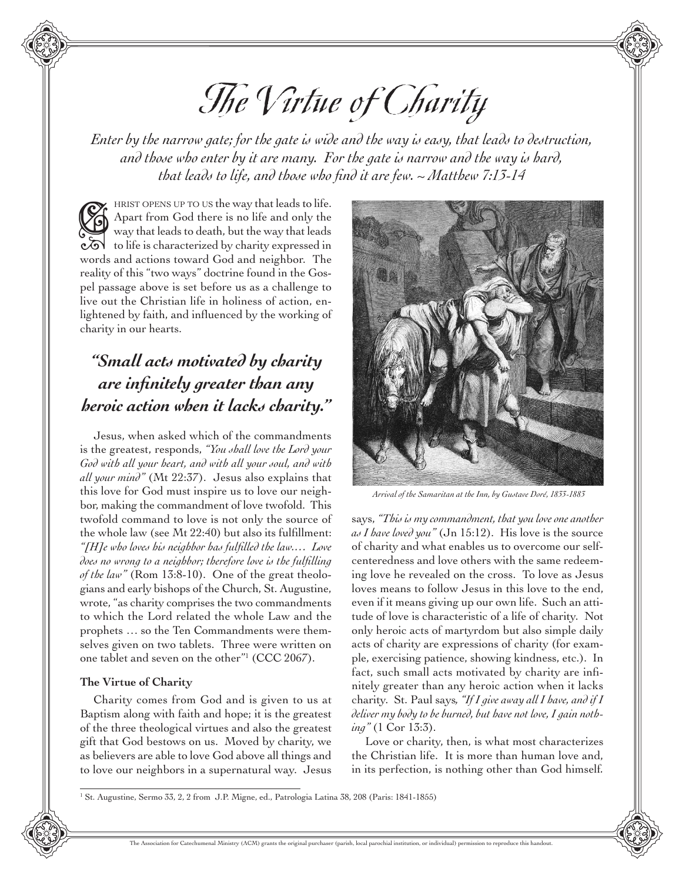# The Virtue of Charity

*Enter by the narrow gate; for the gate is wide and the way is easy, that leads to destruction, and those who enter by it are many. For the gate is narrow and the way is hard, that leads to life, and those who find it are few. ~ Matthew 7:13-14*

HRIST OPENS UP TO US the way that leads to life. Apart from God there is no life and only the way that leads to death, but the way that leads THEIST OPENS OF TO US the Way that leads to the.<br>
Apart from God there is no life and only the<br>
way that leads to death, but the way that leads<br>
coloring to life is characterized by charity expressed in words and actions toward God and neighbor. The reality of this "two ways" doctrine found in the Gospel passage above is set before us as a challenge to live out the Christian life in holiness of action, enlightened by faith, and influenced by the working of charity in our hearts.

## *"Small acts motivated by charity are infinitely greater than any heroic action when it lacks charity."*

Jesus, when asked which of the commandments is the greatest, responds, *"You shall love the Lord your God with all your heart, and with all your soul, and with all your mind"* (Mt 22:37). Jesus also explains that this love for God must inspire us to love our neighbor, making the commandment of love twofold. This twofold command to love is not only the source of the whole law (see Mt 22:40) but also its fulfillment: *"[H]e who loves his neighbor has fulfilled the law.… Love does no wrong to a neighbor; therefore love is the fulfilling of the law"* (Rom 13:8-10). One of the great theologians and early bishops of the Church, St. Augustine, wrote, "as charity comprises the two commandments to which the Lord related the whole Law and the prophets … so the Ten Commandments were themselves given on two tablets. Three were written on one tablet and seven on the other"1 (CCC 2067).

## **The Virtue of Charity**

Charity comes from God and is given to us at Baptism along with faith and hope; it is the greatest of the three theological virtues and also the greatest gift that God bestows on us. Moved by charity, we as believers are able to love God above all things and to love our neighbors in a supernatural way. Jesus



 *Arrival of the Samaritan at the Inn, by Gustave Doré, 1833-1883*

says, *"This is my commandment, that you love one another as I have loved you"* (Jn 15:12). His love is the source of charity and what enables us to overcome our selfcenteredness and love others with the same redeeming love he revealed on the cross. To love as Jesus loves means to follow Jesus in this love to the end, even if it means giving up our own life. Such an attitude of love is characteristic of a life of charity. Not only heroic acts of martyrdom but also simple daily acts of charity are expressions of charity (for example, exercising patience, showing kindness, etc.). In fact, such small acts motivated by charity are infinitely greater than any heroic action when it lacks charity. St. Paul says*, "If I give away all I have, and if I deliver my body to be burned, but have not love, I gain nothing"* (1 Cor 13:3).

Love or charity, then, is what most characterizes the Christian life. It is more than human love and, in its perfection, is nothing other than God himself*.*